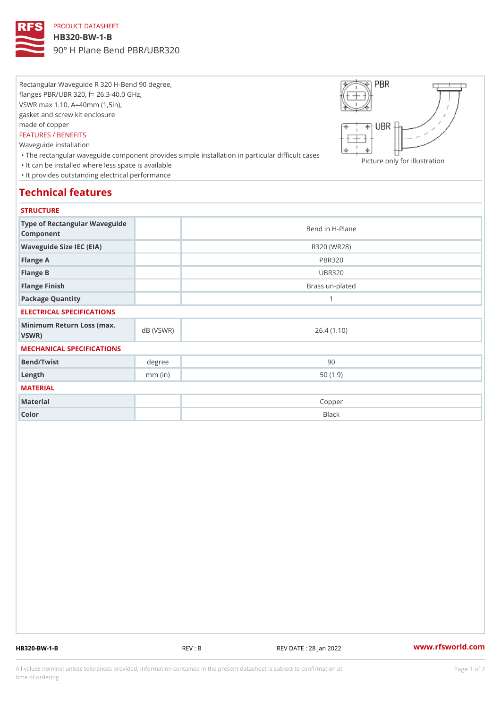## PRODUCT DATASHEET

#### HB320-BW-1-B

90° H Plane Bend PBR/UBR320

Rectangular Waveguide R 320 H-Bend 90 degree, flanges PBR/UBR 320, f= 26.3-40.0 GHz, VSWR max 1.10, A=40mm (1,5in), gasket and screw kit enclosure made of copper FEATURES / BENEFITS Waveguide installation

 "The rectangular waveguide component provides simple installation in particular difficult cases Picture only for illustration "It can be installed where less space is available "It provides outstanding electrical performance

# Technical features

### **STRUCTURE**

| .                                                |           |                 |
|--------------------------------------------------|-----------|-----------------|
| Type of Rectangular Waveguide<br>Component       |           | Bend in H-Plane |
| Waveguide Size IEC (EIA)                         |           | R320 (WR28)     |
| Flange A                                         |           | <b>PBR320</b>   |
| Flange B                                         |           | <b>UBR320</b>   |
| Flange Finish                                    |           | Brass un-plated |
| Package Quantity                                 |           | 1               |
| ELECTRICAL SPECIFICATIONS                        |           |                 |
| Minimum Return Loss (nax (VSWR)<br>$V$ S W R $)$ |           | 26.4(1.10)      |
| MECHANICAL SPECIFICATIONS                        |           |                 |
| Bend/Twist                                       | degree    | 90              |
| $L$ ength                                        | $mm$ (in) | 50(1.9)         |
| MATERIAL                                         |           |                 |
| Material                                         |           | Copper          |
| Color                                            |           | Black           |

HB320-BW-1-B REV : B REV DATE : 28 Jan 2022 [www.](https://www.rfsworld.com)rfsworld.com